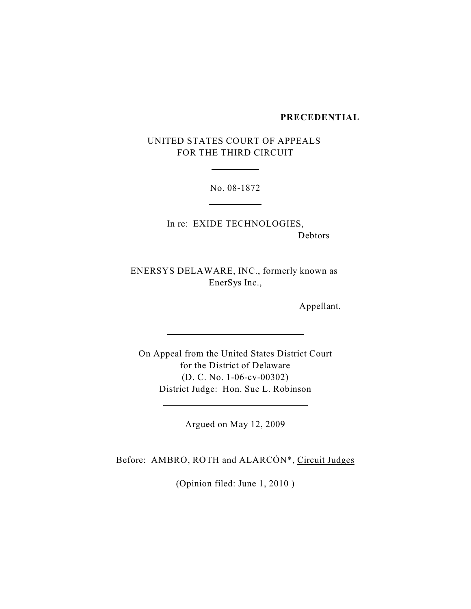### **PRECEDENTIAL**

UNITED STATES COURT OF APPEALS FOR THE THIRD CIRCUIT

l

l

 $\overline{a}$ 

l

No. 08-1872

In re: EXIDE TECHNOLOGIES, Debtors

ENERSYS DELAWARE, INC., formerly known as EnerSys Inc.,

Appellant.

On Appeal from the United States District Court for the District of Delaware (D. C. No. 1-06-cv-00302) District Judge: Hon. Sue L. Robinson

Argued on May 12, 2009

Before: AMBRO, ROTH and ALARCÓN\*, Circuit Judges

(Opinion filed: June 1, 2010 )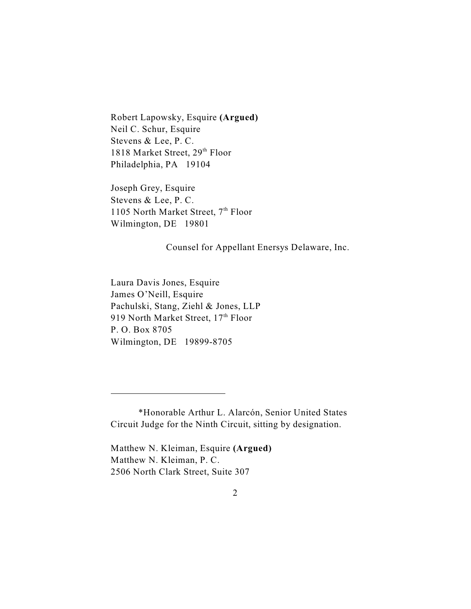Robert Lapowsky, Esquire **(Argued)** Neil C. Schur, Esquire Stevens & Lee, P. C. 1818 Market Street, 29<sup>th</sup> Floor Philadelphia, PA 19104

Joseph Grey, Esquire Stevens & Lee, P. C. 1105 North Market Street, 7<sup>th</sup> Floor Wilmington, DE 19801

Counsel for Appellant Enersys Delaware, Inc.

Laura Davis Jones, Esquire James O'Neill, Esquire Pachulski, Stang, Ziehl & Jones, LLP 919 North Market Street, 17<sup>th</sup> Floor P. O. Box 8705 Wilmington, DE 19899-8705

l

Matthew N. Kleiman, Esquire **(Argued)** Matthew N. Kleiman, P. C. 2506 North Clark Street, Suite 307

<sup>\*</sup>Honorable Arthur L. Alarcón, Senior United States Circuit Judge for the Ninth Circuit, sitting by designation.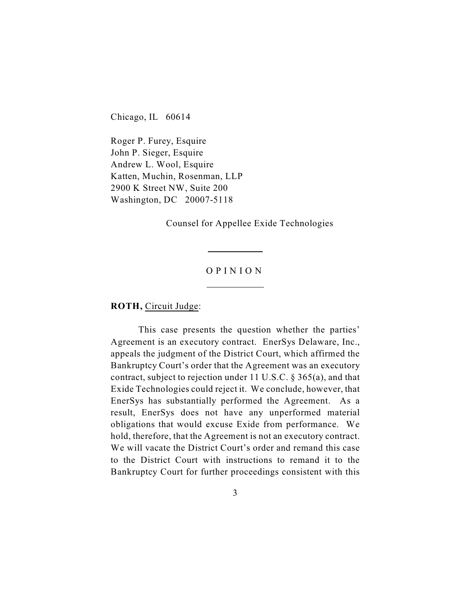Chicago, IL 60614

Roger P. Furey, Esquire John P. Sieger, Esquire Andrew L. Wool, Esquire Katten, Muchin, Rosenman, LLP 2900 K Street NW, Suite 200 Washington, DC 20007-5118

Counsel for Appellee Exide Technologies

# O P I N I O N

l

 $\overline{a}$ 

**ROTH,** Circuit Judge:

This case presents the question whether the parties' Agreement is an executory contract. EnerSys Delaware, Inc., appeals the judgment of the District Court, which affirmed the Bankruptcy Court's order that the Agreement was an executory contract, subject to rejection under 11 U.S.C. § 365(a), and that Exide Technologies could reject it. We conclude, however, that EnerSys has substantially performed the Agreement. As a result, EnerSys does not have any unperformed material obligations that would excuse Exide from performance. We hold, therefore, that the Agreement is not an executory contract. We will vacate the District Court's order and remand this case to the District Court with instructions to remand it to the Bankruptcy Court for further proceedings consistent with this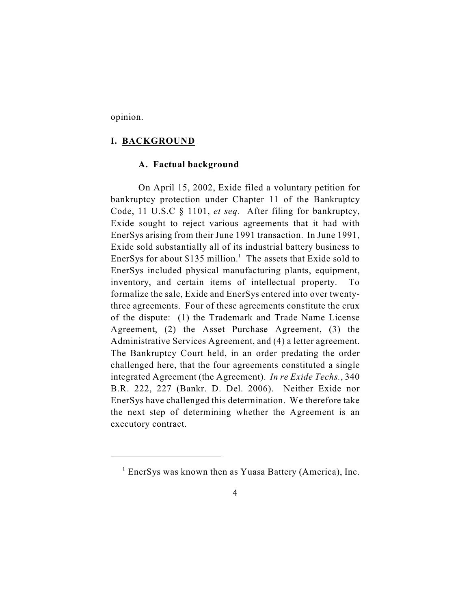opinion.

### **I. BACKGROUND**

# **A. Factual background**

On April 15, 2002, Exide filed a voluntary petition for bankruptcy protection under Chapter 11 of the Bankruptcy Code, 11 U.S.C § 1101, *et seq.* After filing for bankruptcy, Exide sought to reject various agreements that it had with EnerSys arising from their June 1991 transaction. In June 1991, Exide sold substantially all of its industrial battery business to EnerSys for about  $$135$  million.<sup>1</sup> The assets that Exide sold to EnerSys included physical manufacturing plants, equipment, inventory, and certain items of intellectual property. To formalize the sale, Exide and EnerSys entered into over twentythree agreements. Four of these agreements constitute the crux of the dispute: (1) the Trademark and Trade Name License Agreement, (2) the Asset Purchase Agreement, (3) the Administrative Services Agreement, and (4) a letter agreement. The Bankruptcy Court held, in an order predating the order challenged here, that the four agreements constituted a single integrated Agreement (the Agreement). *In re Exide Techs.*, 340 B.R. 222, 227 (Bankr. D. Del. 2006).Neither Exide nor EnerSys have challenged this determination. We therefore take the next step of determining whether the Agreement is an executory contract.

 $<sup>1</sup>$  EnerSys was known then as Yuasa Battery (America), Inc.</sup>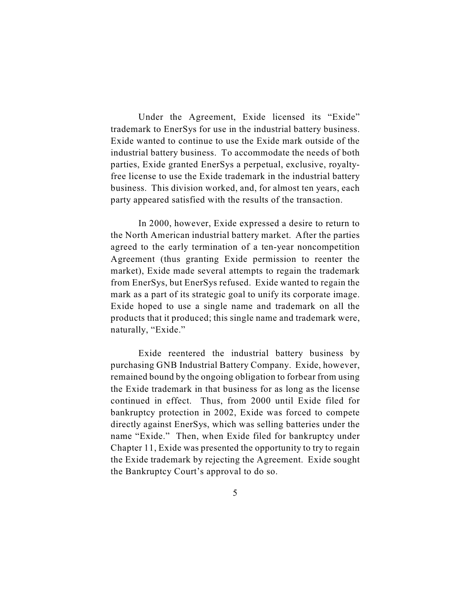Under the Agreement, Exide licensed its "Exide" trademark to EnerSys for use in the industrial battery business. Exide wanted to continue to use the Exide mark outside of the industrial battery business. To accommodate the needs of both parties, Exide granted EnerSys a perpetual, exclusive, royaltyfree license to use the Exide trademark in the industrial battery business. This division worked, and, for almost ten years, each party appeared satisfied with the results of the transaction.

In 2000, however, Exide expressed a desire to return to the North American industrial battery market. After the parties agreed to the early termination of a ten-year noncompetition Agreement (thus granting Exide permission to reenter the market), Exide made several attempts to regain the trademark from EnerSys, but EnerSys refused. Exide wanted to regain the mark as a part of its strategic goal to unify its corporate image. Exide hoped to use a single name and trademark on all the products that it produced; this single name and trademark were, naturally, "Exide."

Exide reentered the industrial battery business by purchasing GNB Industrial Battery Company. Exide, however, remained bound by the ongoing obligation to forbear from using the Exide trademark in that business for as long as the license continued in effect. Thus, from 2000 until Exide filed for bankruptcy protection in 2002, Exide was forced to compete directly against EnerSys, which was selling batteries under the name "Exide." Then, when Exide filed for bankruptcy under Chapter 11, Exide was presented the opportunity to try to regain the Exide trademark by rejecting the Agreement. Exide sought the Bankruptcy Court's approval to do so.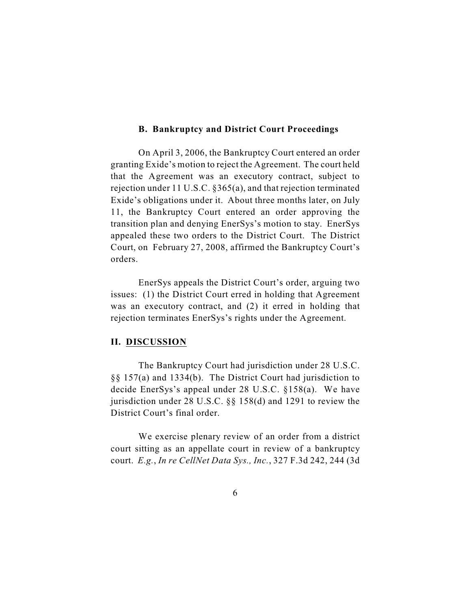#### **B. Bankruptcy and District Court Proceedings**

On April 3, 2006, the Bankruptcy Court entered an order granting Exide's motion to reject the Agreement. The court held that the Agreement was an executory contract, subject to rejection under 11 U.S.C. §365(a), and that rejection terminated Exide's obligations under it. About three months later, on July 11, the Bankruptcy Court entered an order approving the transition plan and denying EnerSys's motion to stay. EnerSys appealed these two orders to the District Court. The District Court, on February 27, 2008, affirmed the Bankruptcy Court's orders.

EnerSys appeals the District Court's order, arguing two issues: (1) the District Court erred in holding that Agreement was an executory contract, and (2) it erred in holding that rejection terminates EnerSys's rights under the Agreement.

# **II. DISCUSSION**

The Bankruptcy Court had jurisdiction under 28 U.S.C. §§ 157(a) and 1334(b). The District Court had jurisdiction to decide EnerSys's appeal under 28 U.S.C. §158(a). We have jurisdiction under 28 U.S.C. §§ 158(d) and 1291 to review the District Court's final order.

We exercise plenary review of an order from a district court sitting as an appellate court in review of a bankruptcy court. *E.g.*, *In re CellNet Data Sys., Inc.*, 327 F.3d 242, 244 (3d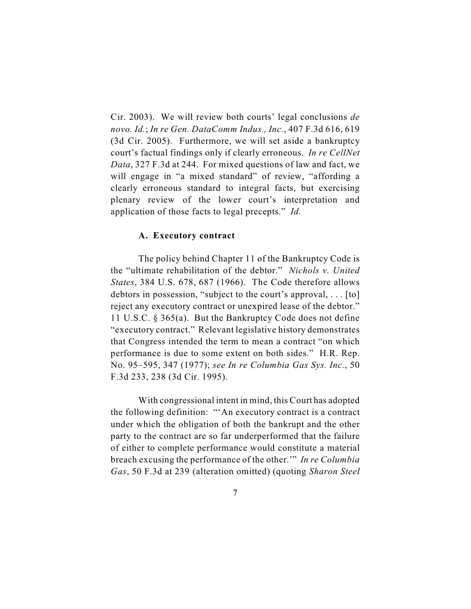Cir. 2003). We will review both courts' legal conclusions *de novo. Id.*; *In re Gen. DataComm Indus., Inc.*, 407 F.3d 616, 619 (3d Cir. 2005). Furthermore, we will set aside a bankruptcy court's factual findings only if clearly erroneous. *In re CellNet Data*, 327 F.3d at 244. For mixed questions of law and fact, we will engage in "a mixed standard" of review, "affording a clearly erroneous standard to integral facts, but exercising plenary review of the lower court's interpretation and application of those facts to legal precepts." *Id.* 

#### **A. Executory contract**

The policy behind Chapter 11 of the Bankruptcy Code is the "ultimate rehabilitation of the debtor." *Nichols v. United States*, 384 U.S. 678, 687 (1966). The Code therefore allows debtors in possession, "subject to the court's approval, . . . [to] reject any executory contract or unexpired lease of the debtor." 11 U.S.C. § 365(a). But the Bankruptcy Code does not define "executory contract." Relevant legislative history demonstrates that Congress intended the term to mean a contract "on which performance is due to some extent on both sides." H.R. Rep. No. 95–595, 347 (1977); *see In re Columbia Gas Sys. Inc.*, 50 F.3d 233, 238 (3d Cir. 1995).

With congressional intent in mind, this Court has adopted the following definition: "'An executory contract is a contract under which the obligation of both the bankrupt and the other party to the contract are so far underperformed that the failure of either to complete performance would constitute a material breach excusing the performance of the other.'" *In re Columbia Gas*, 50 F.3d at 239 (alteration omitted) (quoting *Sharon Steel*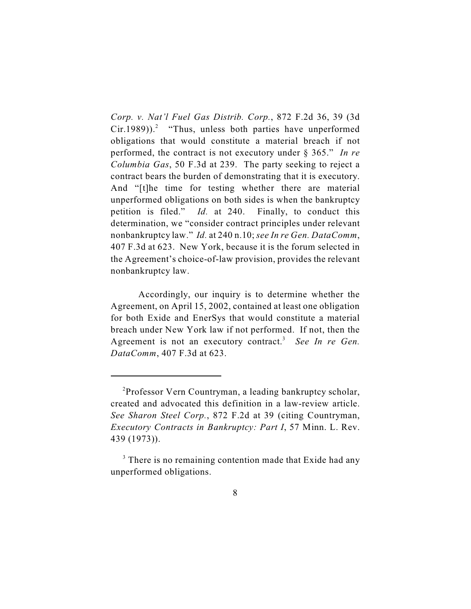*Corp. v. Nat'l Fuel Gas Distrib. Corp.*, 872 F.2d 36, 39 (3d  $Cir.1989)$ . "Thus, unless both parties have unperformed obligations that would constitute a material breach if not performed, the contract is not executory under § 365." *In re Columbia Gas*, 50 F.3d at 239. The party seeking to reject a contract bears the burden of demonstrating that it is executory. And "[t]he time for testing whether there are material unperformed obligations on both sides is when the bankruptcy petition is filed." *Id.* at 240. Finally, to conduct this determination, we "consider contract principles under relevant nonbankruptcy law." *Id.* at 240 n.10; *see In re Gen. DataComm*, 407 F.3d at 623. New York, because it is the forum selected in the Agreement's choice-of-law provision, provides the relevant nonbankruptcy law.

Accordingly, our inquiry is to determine whether the Agreement, on April 15, 2002, contained at least one obligation for both Exide and EnerSys that would constitute a material breach under New York law if not performed. If not, then the Agreement is not an executory contract.<sup>3</sup> See In re Gen. *DataComm*, 407 F.3d at 623.

 $P$ Professor Vern Countryman, a leading bankruptcy scholar, created and advocated this definition in a law-review article. *See Sharon Steel Corp.*, 872 F.2d at 39 (citing Countryman, *Executory Contracts in Bankruptcy: Part I*, 57 Minn. L. Rev. 439 (1973)).

 $3$  There is no remaining contention made that Exide had any unperformed obligations.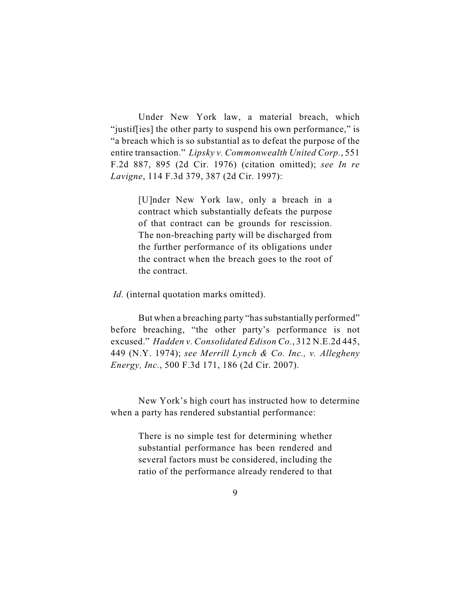Under New York law, a material breach, which "justif[ies] the other party to suspend his own performance," is "a breach which is so substantial as to defeat the purpose of the entire transaction." *Lipsky v. Commonwealth United Corp.*, 551 F.2d 887, 895 (2d Cir. 1976) (citation omitted); *see In re Lavigne*, 114 F.3d 379, 387 (2d Cir. 1997):

> [U]nder New York law, only a breach in a contract which substantially defeats the purpose of that contract can be grounds for rescission. The non-breaching party will be discharged from the further performance of its obligations under the contract when the breach goes to the root of the contract.

*Id.* (internal quotation marks omitted).

But when a breaching party "has substantially performed" before breaching, "the other party's performance is not excused." *Hadden v. Consolidated Edison Co.*, 312 N.E.2d 445, 449 (N.Y. 1974); *see Merrill Lynch & Co. Inc., v. Allegheny Energy, Inc.*, 500 F.3d 171, 186 (2d Cir. 2007).

New York's high court has instructed how to determine when a party has rendered substantial performance:

> There is no simple test for determining whether substantial performance has been rendered and several factors must be considered, including the ratio of the performance already rendered to that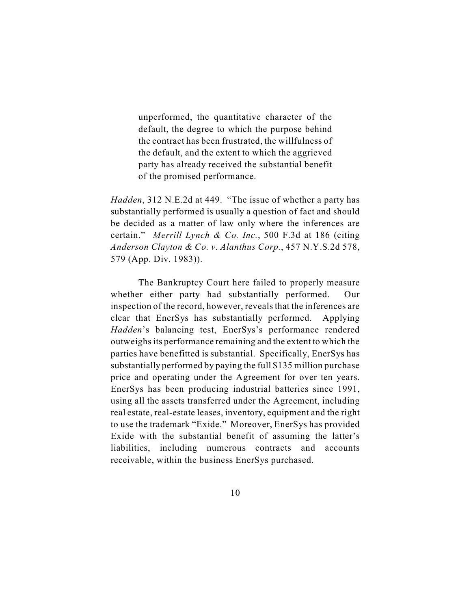unperformed, the quantitative character of the default, the degree to which the purpose behind the contract has been frustrated, the willfulness of the default, and the extent to which the aggrieved party has already received the substantial benefit of the promised performance.

*Hadden*, 312 N.E.2d at 449. "The issue of whether a party has substantially performed is usually a question of fact and should be decided as a matter of law only where the inferences are certain." *Merrill Lynch & Co. Inc.*, 500 F.3d at 186 (citing *Anderson Clayton & Co. v. Alanthus Corp.*, 457 N.Y.S.2d 578, 579 (App. Div. 1983)).

The Bankruptcy Court here failed to properly measure whether either party had substantially performed. Our inspection of the record, however, reveals that the inferences are clear that EnerSys has substantially performed. Applying *Hadden*'s balancing test, EnerSys's performance rendered outweighs its performance remaining and the extent to which the parties have benefitted is substantial. Specifically, EnerSys has substantially performed by paying the full \$135 million purchase price and operating under the Agreement for over ten years. EnerSys has been producing industrial batteries since 1991, using all the assets transferred under the Agreement, including real estate, real-estate leases, inventory, equipment and the right to use the trademark "Exide." Moreover, EnerSys has provided Exide with the substantial benefit of assuming the latter's liabilities, including numerous contracts and accounts receivable, within the business EnerSys purchased.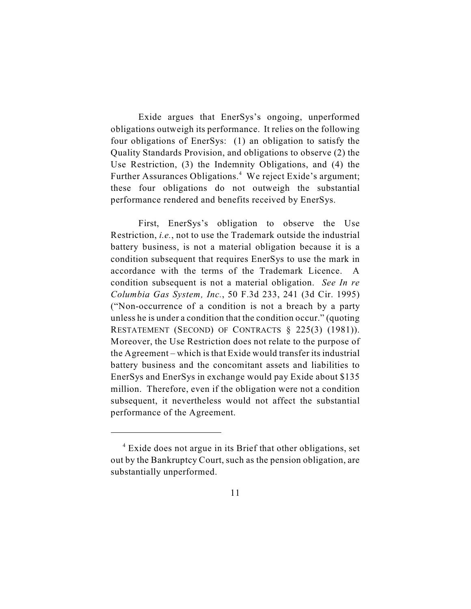Exide argues that EnerSys's ongoing, unperformed obligations outweigh its performance. It relies on the following four obligations of EnerSys: (1) an obligation to satisfy the Quality Standards Provision, and obligations to observe (2) the Use Restriction, (3) the Indemnity Obligations, and (4) the Further Assurances Obligations.<sup>4</sup> We reject Exide's argument; these four obligations do not outweigh the substantial performance rendered and benefits received by EnerSys.

First, EnerSys's obligation to observe the Use Restriction, *i.e.*, not to use the Trademark outside the industrial battery business, is not a material obligation because it is a condition subsequent that requires EnerSys to use the mark in accordance with the terms of the Trademark Licence. A condition subsequent is not a material obligation. *See In re Columbia Gas System, Inc.*, 50 F.3d 233, 241 (3d Cir. 1995) ("Non-occurrence of a condition is not a breach by a party unless he is under a condition that the condition occur." (quoting RESTATEMENT (SECOND) OF CONTRACTS § 225(3) (1981)). Moreover, the Use Restriction does not relate to the purpose of the Agreement – which is that Exide would transfer its industrial battery business and the concomitant assets and liabilities to EnerSys and EnerSys in exchange would pay Exide about \$135 million. Therefore, even if the obligation were not a condition subsequent, it nevertheless would not affect the substantial performance of the Agreement.

 $4$  Exide does not argue in its Brief that other obligations, set out by the Bankruptcy Court, such as the pension obligation, are substantially unperformed.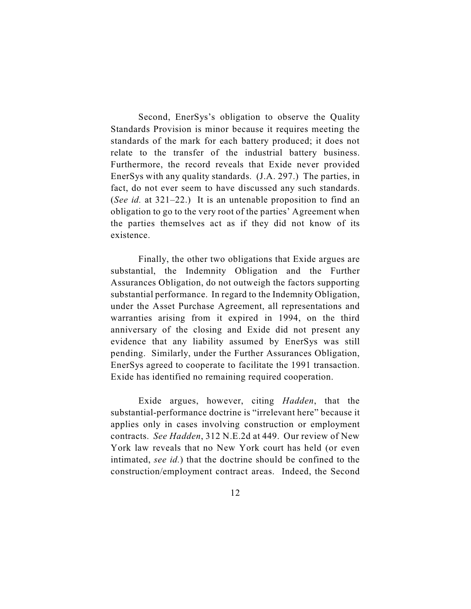Second, EnerSys's obligation to observe the Quality Standards Provision is minor because it requires meeting the standards of the mark for each battery produced; it does not relate to the transfer of the industrial battery business. Furthermore, the record reveals that Exide never provided EnerSys with any quality standards. (J.A. 297.) The parties, in fact, do not ever seem to have discussed any such standards. (*See id.* at 321–22.) It is an untenable proposition to find an obligation to go to the very root of the parties' Agreement when the parties themselves act as if they did not know of its existence.

Finally, the other two obligations that Exide argues are substantial, the Indemnity Obligation and the Further Assurances Obligation, do not outweigh the factors supporting substantial performance. In regard to the Indemnity Obligation, under the Asset Purchase Agreement, all representations and warranties arising from it expired in 1994, on the third anniversary of the closing and Exide did not present any evidence that any liability assumed by EnerSys was still pending. Similarly, under the Further Assurances Obligation, EnerSys agreed to cooperate to facilitate the 1991 transaction. Exide has identified no remaining required cooperation.

Exide argues, however, citing *Hadden*, that the substantial-performance doctrine is "irrelevant here" because it applies only in cases involving construction or employment contracts. *See Hadden*, 312 N.E.2d at 449. Our review of New York law reveals that no New York court has held (or even intimated, *see id.*) that the doctrine should be confined to the construction/employment contract areas. Indeed, the Second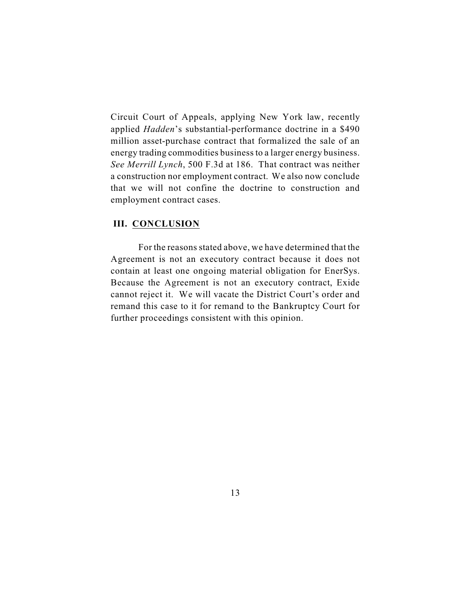Circuit Court of Appeals, applying New York law, recently applied *Hadden*'s substantial-performance doctrine in a \$490 million asset-purchase contract that formalized the sale of an energy trading commodities business to a larger energy business. *See Merrill Lynch*, 500 F.3d at 186. That contract was neither a construction nor employment contract. We also now conclude that we will not confine the doctrine to construction and employment contract cases.

# **III. CONCLUSION**

For the reasons stated above, we have determined that the Agreement is not an executory contract because it does not contain at least one ongoing material obligation for EnerSys. Because the Agreement is not an executory contract, Exide cannot reject it. We will vacate the District Court's order and remand this case to it for remand to the Bankruptcy Court for further proceedings consistent with this opinion.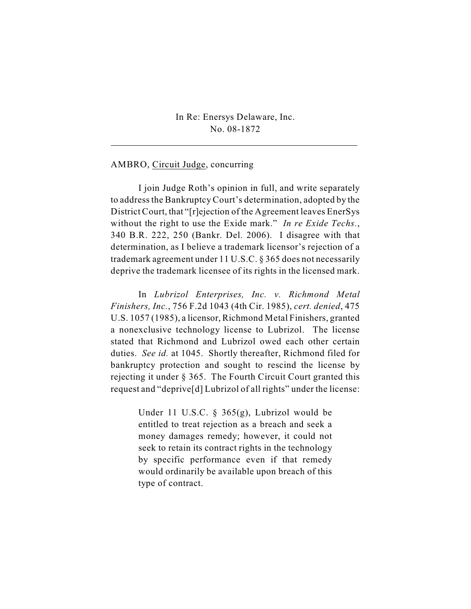In Re: Enersys Delaware, Inc. No. 08-1872

### AMBRO, Circuit Judge, concurring

 $\overline{a}$ 

I join Judge Roth's opinion in full, and write separately to address the Bankruptcy Court's determination, adopted by the District Court, that "[r]ejection of the Agreement leaves EnerSys without the right to use the Exide mark." *In re Exide Techs.*, 340 B.R. 222, 250 (Bankr. Del. 2006). I disagree with that determination, as I believe a trademark licensor's rejection of a trademark agreement under 11 U.S.C. § 365 does not necessarily deprive the trademark licensee of its rights in the licensed mark.

In *Lubrizol Enterprises, Inc. v. Richmond Metal Finishers, Inc.*, 756 F.2d 1043 (4th Cir. 1985), *cert. denied*, 475 U.S. 1057 (1985), a licensor, Richmond Metal Finishers, granted a nonexclusive technology license to Lubrizol. The license stated that Richmond and Lubrizol owed each other certain duties. *See id.* at 1045. Shortly thereafter, Richmond filed for bankruptcy protection and sought to rescind the license by rejecting it under § 365. The Fourth Circuit Court granted this request and "deprive[d] Lubrizol of all rights" under the license:

> Under 11 U.S.C. § 365(g), Lubrizol would be entitled to treat rejection as a breach and seek a money damages remedy; however, it could not seek to retain its contract rights in the technology by specific performance even if that remedy would ordinarily be available upon breach of this type of contract.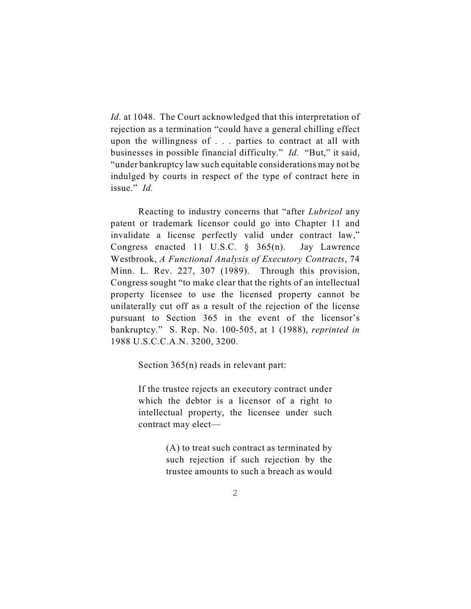*Id.* at 1048. The Court acknowledged that this interpretation of rejection as a termination "could have a general chilling effect upon the willingness of . . . parties to contract at all with businesses in possible financial difficulty." *Id.* "But," it said, "under bankruptcy law such equitable considerations may not be indulged by courts in respect of the type of contract here in issue." *Id.*

Reacting to industry concerns that "after *Lubrizol* any patent or trademark licensor could go into Chapter 11 and invalidate a license perfectly valid under contract law," Congress enacted 11 U.S.C. § 365(n). Jay Lawrence Westbrook, *A Functional Analysis of Executory Contracts*, 74 Minn. L. Rev. 227, 307 (1989).Through this provision, Congress sought "to make clear that the rights of an intellectual property licensee to use the licensed property cannot be unilaterally cut off as a result of the rejection of the license pursuant to Section 365 in the event of the licensor's bankruptcy." S. Rep. No. 100-505, at 1 (1988), *reprinted in* 1988 U.S.C.C.A.N. 3200, 3200.

Section 365(n) reads in relevant part:

If the trustee rejects an executory contract under which the debtor is a licensor of a right to intellectual property, the licensee under such contract may elect—

> (A) to treat such contract as terminated by such rejection if such rejection by the trustee amounts to such a breach as would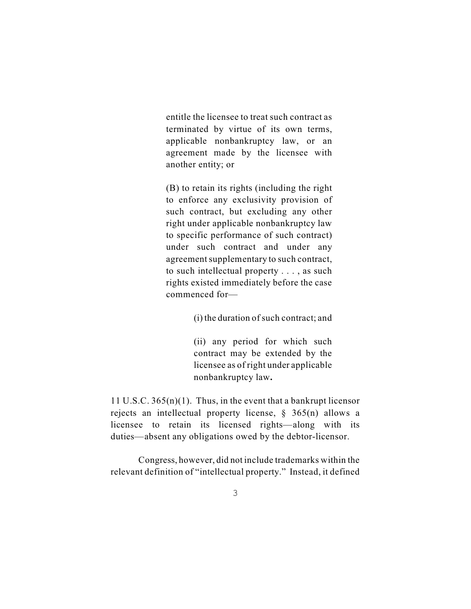entitle the licensee to treat such contract as terminated by virtue of its own terms, applicable nonbankruptcy law, or an agreement made by the licensee with another entity; or

(B) to retain its rights (including the right to enforce any exclusivity provision of such contract, but excluding any other right under applicable nonbankruptcy law to specific performance of such contract) under such contract and under any agreement supplementary to such contract, to such intellectual property . . . , as such rights existed immediately before the case commenced for—

(i) the duration of such contract; and

(ii) any period for which such contract may be extended by the licensee as of right under applicable nonbankruptcy law**.**

11 U.S.C. 365(n)(1). Thus, in the event that a bankrupt licensor rejects an intellectual property license, § 365(n) allows a licensee to retain its licensed rights—along with its duties—absent any obligations owed by the debtor-licensor.

Congress, however, did not include trademarks within the relevant definition of "intellectual property." Instead, it defined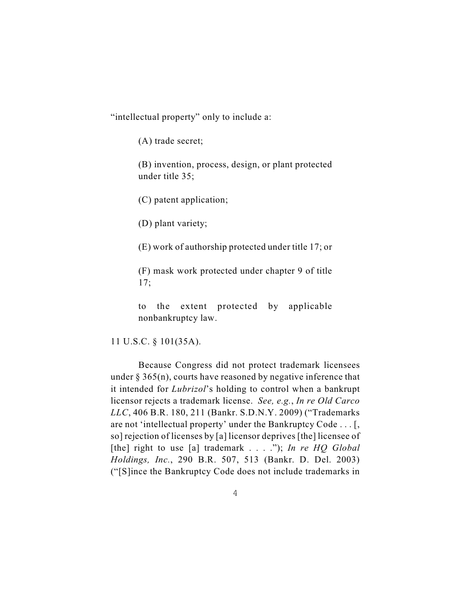"intellectual property" only to include a:

(A) trade secret;

(B) invention, process, design, or plant protected under title 35;

(C) patent application;

(D) plant variety;

(E) work of authorship protected under title 17; or

(F) mask work protected under chapter 9 of title 17;

to the extent protected by applicable nonbankruptcy law.

11 U.S.C. § 101(35A).

Because Congress did not protect trademark licensees under  $\S 365(n)$ , courts have reasoned by negative inference that it intended for *Lubrizol*'s holding to control when a bankrupt licensor rejects a trademark license. *See, e.g.*, *In re Old Carco LLC*, 406 B.R. 180, 211 (Bankr. S.D.N.Y. 2009) ("Trademarks are not 'intellectual property' under the Bankruptcy Code . . . [, so] rejection of licenses by [a] licensor deprives [the] licensee of [the] right to use [a] trademark . . . ."); *In re HQ Global Holdings, Inc.*, 290 B.R. 507, 513 (Bankr. D. Del. 2003) ("[S]ince the Bankruptcy Code does not include trademarks in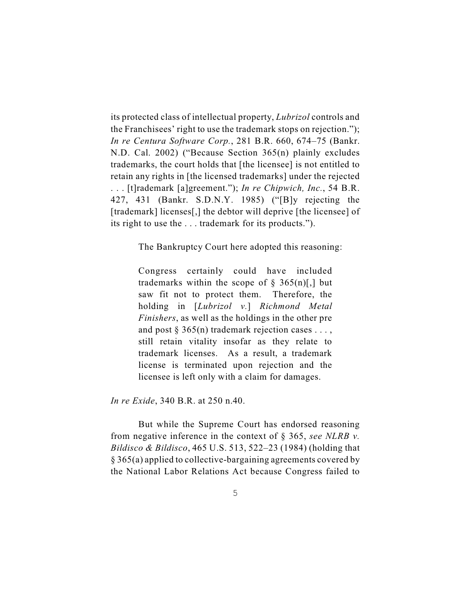its protected class of intellectual property, *Lubrizol* controls and the Franchisees' right to use the trademark stops on rejection."); *In re Centura Software Corp.*, 281 B.R. 660, 674–75 (Bankr. N.D. Cal. 2002) ("Because Section 365(n) plainly excludes trademarks, the court holds that [the licensee] is not entitled to retain any rights in [the licensed trademarks] under the rejected . . . [t]rademark [a]greement."); *In re Chipwich, Inc.*, 54 B.R. 427, 431 (Bankr. S.D.N.Y. 1985) ("[B]y rejecting the [trademark] licenses[,] the debtor will deprive [the licensee] of its right to use the . . . trademark for its products.").

The Bankruptcy Court here adopted this reasoning:

Congress certainly could have included trademarks within the scope of  $\S$  365(n)[,] but saw fit not to protect them. Therefore, the holding in [*Lubrizol v.*] *Richmond Metal Finishers*, as well as the holdings in the other pre and post  $\S 365(n)$  trademark rejection cases ..., still retain vitality insofar as they relate to trademark licenses. As a result, a trademark license is terminated upon rejection and the licensee is left only with a claim for damages.

*In re Exide*, 340 B.R. at 250 n.40.

But while the Supreme Court has endorsed reasoning from negative inference in the context of § 365, *see NLRB v. Bildisco & Bildisco*, 465 U.S. 513, 522–23 (1984) (holding that § 365(a) applied to collective-bargaining agreements covered by the National Labor Relations Act because Congress failed to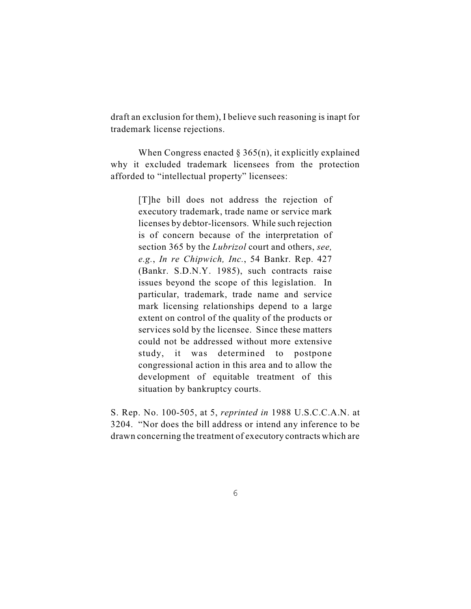draft an exclusion for them), I believe such reasoning is inapt for trademark license rejections.

When Congress enacted  $\S 365(n)$ , it explicitly explained why it excluded trademark licensees from the protection afforded to "intellectual property" licensees:

> [T]he bill does not address the rejection of executory trademark, trade name or service mark licenses by debtor-licensors. While such rejection is of concern because of the interpretation of section 365 by the *Lubrizol* court and others, *see, e.g.*, *In re Chipwich, Inc.*, 54 Bankr. Rep. 427 (Bankr. S.D.N.Y. 1985), such contracts raise issues beyond the scope of this legislation. In particular, trademark, trade name and service mark licensing relationships depend to a large extent on control of the quality of the products or services sold by the licensee. Since these matters could not be addressed without more extensive study, it was determined to postpone congressional action in this area and to allow the development of equitable treatment of this situation by bankruptcy courts.

S. Rep. No. 100-505, at 5, *reprinted in* 1988 U.S.C.C.A.N. at 3204. "Nor does the bill address or intend any inference to be drawn concerning the treatment of executory contracts which are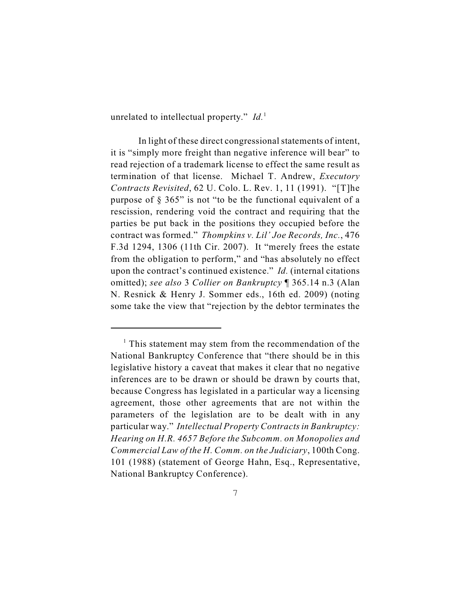unrelated to intellectual property." *Id.*<sup>1</sup>

In light of these direct congressional statements of intent, it is "simply more freight than negative inference will bear" to read rejection of a trademark license to effect the same result as termination of that license. Michael T. Andrew, *Executory Contracts Revisited*, 62 U. Colo. L. Rev. 1, 11 (1991). "[T]he purpose of § 365" is not "to be the functional equivalent of a rescission, rendering void the contract and requiring that the parties be put back in the positions they occupied before the contract was formed." *Thompkins v. Lil' Joe Records, Inc.*, 476 F.3d 1294, 1306 (11th Cir. 2007). It "merely frees the estate from the obligation to perform," and "has absolutely no effect upon the contract's continued existence." *Id.* (internal citations omitted); *see also* 3 *Collier on Bankruptcy* ¶ 365.14 n.3 (Alan N. Resnick & Henry J. Sommer eds., 16th ed. 2009) (noting some take the view that "rejection by the debtor terminates the

 $<sup>1</sup>$  This statement may stem from the recommendation of the</sup> National Bankruptcy Conference that "there should be in this legislative history a caveat that makes it clear that no negative inferences are to be drawn or should be drawn by courts that, because Congress has legislated in a particular way a licensing agreement, those other agreements that are not within the parameters of the legislation are to be dealt with in any particular way." *Intellectual Property Contracts in Bankruptcy: Hearing on H.R. 4657 Before the Subcomm. on Monopolies and Commercial Law of the H. Comm. on the Judiciary*, 100th Cong. 101 (1988) (statement of George Hahn, Esq., Representative, National Bankruptcy Conference).